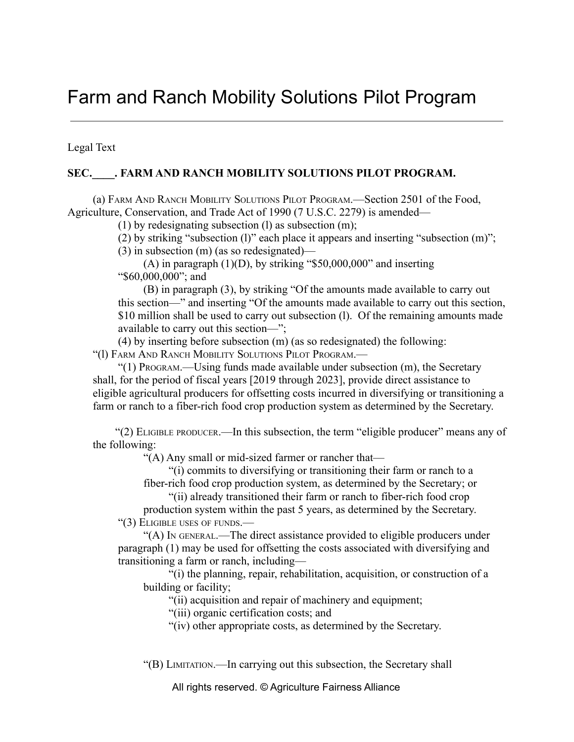## Farm and Ranch Mobility Solutions Pilot Program

Legal Text

## SEC. FARM AND RANCH MOBILITY SOLUTIONS PILOT PROGRAM.

(a) FARM AND RANCH MOBILITY SOLUTIONS PILOT PROGRAM.—Section 2501 of the Food, Agriculture, Conservation, and Trade Act of 1990 (7 U.S.C. 2279) is amended—

(1) by redesignating subsection (l) as subsection  $(m)$ ;

(2) by striking "subsection (l)" each place it appears and inserting "subsection (m)";

(3) in subsection (m) (as so redesignated)—

 $(A)$  in paragraph  $(1)(D)$ , by striking "\$50,000,000" and inserting "\$60,000,000"; and

(B) in paragraph (3), by striking "Of the amounts made available to carry out this section—" and inserting "Of the amounts made available to carry out this section, \$10 million shall be used to carry out subsection (1). Of the remaining amounts made available to carry out this section—";

(4) by inserting before subsection (m) (as so redesignated) the following: "(l) FARM AND RANCH MOBILITY SOLUTIONS PILOT PROGRAM.—

"(1) PROGRAM.—Using funds made available under subsection (m), the Secretary shall, for the period of fiscal years [2019 through 2023], provide direct assistance to eligible agricultural producers for offsetting costs incurred in diversifying or transitioning a farm or ranch to a fiber-rich food crop production system as determined by the Secretary.

"(2) ELIGIBLE PRODUCER.—In this subsection, the term "eligible producer" means any of the following:

"(A) Any small or mid-sized farmer or rancher that—

"(i) commits to diversifying or transitioning their farm or ranch to a

fiber-rich food crop production system, as determined by the Secretary; or

"(ii) already transitioned their farm or ranch to fiber-rich food crop

production system within the past 5 years, as determined by the Secretary. "(3) ELIGIBLE USES OF FUNDS.—

"(A) I<sup>N</sup> GENERAL.—The direct assistance provided to eligible producers under paragraph (1) may be used for offsetting the costs associated with diversifying and transitioning a farm or ranch, including—

"(i) the planning, repair, rehabilitation, acquisition, or construction of a building or facility;

"(ii) acquisition and repair of machinery and equipment;

"(iii) organic certification costs; and

"(iv) other appropriate costs, as determined by the Secretary.

"(B) LIMITATION.—In carrying out this subsection, the Secretary shall

All rights reserved. © Agriculture Fairness Alliance